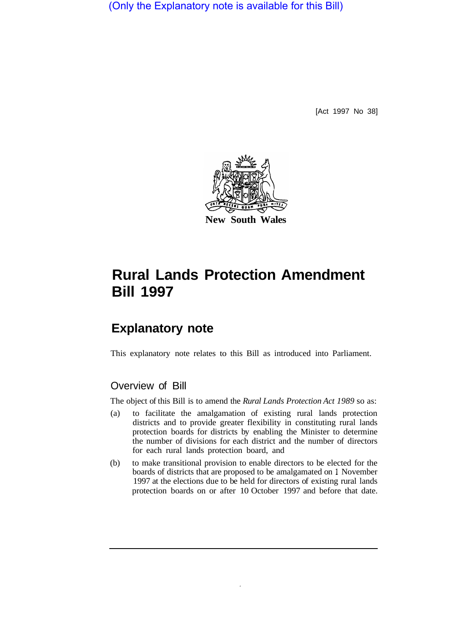(Only the Explanatory note is available for this Bill)

[Act 1997 No 38]



# **Rural Lands Protection Amendment Bill 1997**

## **Explanatory note**

This explanatory note relates to this Bill as introduced into Parliament.

## Overview of Bill

The object of this Bill is to amend the *Rural Lands Protection Act 1989* so as:

- (a) to facilitate the amalgamation of existing rural lands protection districts and to provide greater flexibility in constituting rural lands protection boards for districts by enabling the Minister to determine the number of divisions for each district and the number of directors for each rural lands protection board, and
- (b) to make transitional provision to enable directors to be elected for the boards of districts that are proposed to be amalgamated on l November 1997 at the elections due to be held for directors of existing rural lands protection boards on or after 10 October 1997 and before that date.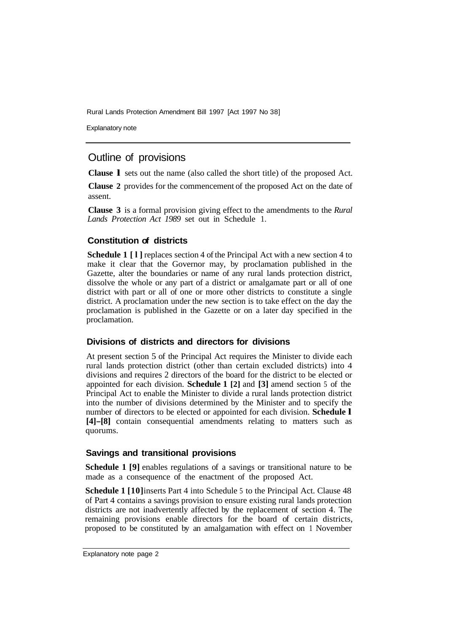Rural Lands Protection Amendment Bill 1997 [Act 1997 No 38]

Explanatory note

## Outline of provisions

**Clause l** sets out the name (also called the short title) of the proposed Act.

**Clause 2** provides for the commencement of the proposed Act on the date of assent.

**Clause 3** is a formal provision giving effect to the amendments to the *Rural Lands Protection Act 1989* set out in Schedule 1.

### **Constitution of districts**

**Schedule 1** [1] replaces section 4 of the Principal Act with a new section 4 to make it clear that the Governor may, by proclamation published in the Gazette, alter the boundaries or name of any rural lands protection district, dissolve the whole or any part of a district or amalgamate part or all of one district with part or all of one or more other districts to constitute a single district. A proclamation under the new section is to take effect on the day the proclamation is published in the Gazette or on a later day specified in the proclamation.

### **Divisions of districts and directors for divisions**

At present section 5 of the Principal Act requires the Minister to divide each rural lands protection district (other than certain excluded districts) into 4 divisions and requires 2 directors of the board for the district to be elected or appointed for each division. **Schedule 1 [2]** and **[3]** amend section 5 of the Principal Act to enable the Minister to divide a rural lands protection district into the number of divisions determined by the Minister and to specify the number of directors to be elected or appointed for each division. **Schedule l [4]-[8]** contain consequential amendments relating to matters such as quorums.

### **Savings and transitional provisions**

**Schedule 1 [9]** enables regulations of a savings or transitional nature to be made as a consequence of the enactment of the proposed Act.

**Schedule 1 [10]** inserts Part 4 into Schedule 5 to the Principal Act. Clause 48 of Part 4 contains a savings provision to ensure existing rural lands protection districts are not inadvertently affected by the replacement of section 4. The remaining provisions enable directors for the board of certain districts, proposed to be constituted by an amalgamation with effect on 1 November